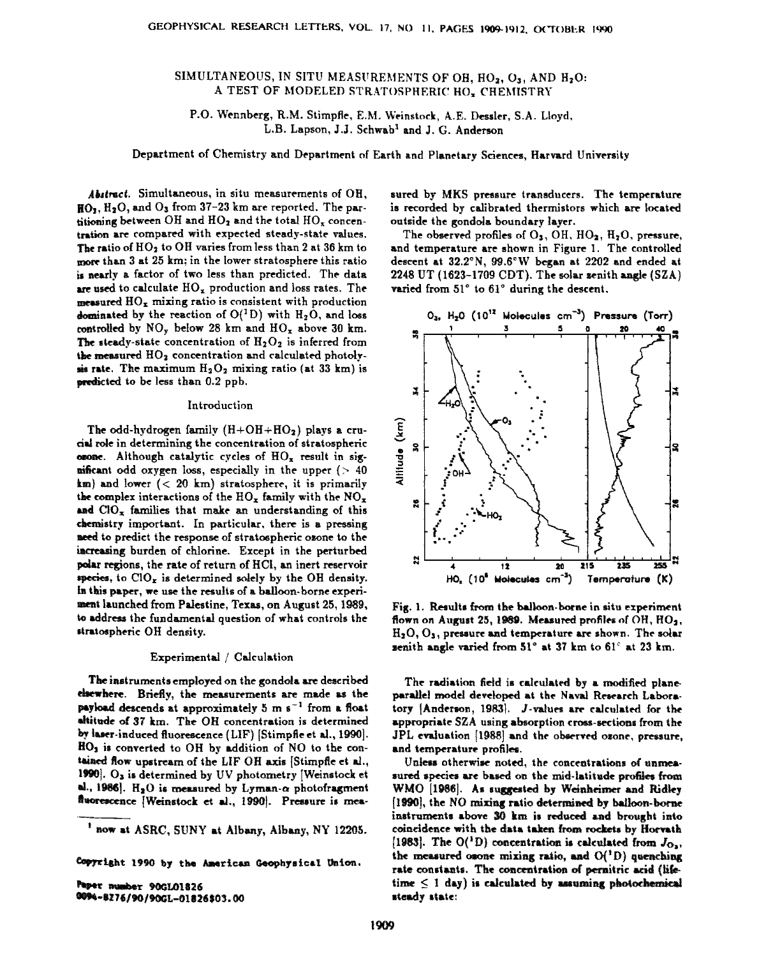# SIMULTANEOUS, IN SITU MEASUREMENTS OF OH, HO<sub>2</sub>, O<sub>3</sub>, AND H<sub>2</sub>O: A TEST OF MODELED STRATOSPHERIC HO<sub>x</sub> CHEMISTRY

**P.O. Wennberg, R.M. Stirnpfle, E.M. We•nstock, A.E. Dessler, S.A. Lloyd,**  L.B. Lapson, J.J. Schwab<sup>1</sup> and J. G. Anderson

**Department of Chemistry and Department of Earth and Planetary Sciences, Harvard University** 

Abstract. Simultaneous, in situ measurements of OH, HO<sub>1</sub>, H<sub>2</sub>O, and O<sub>3</sub> from 37-23 km are reported. The partitioning between OH and HO<sub>2</sub> and the total HO<sub>x</sub> concentration are compared with expected steady-state values. The ratio of HO<sub>2</sub> to OH varies from less than 2 at 36 km to **.more than 3 at 25 km; in the lower stratosphere this ratio [s nearly a factor of two less than predicted. The data**  are used to calculate  $HO_x$  production and loss rates. The **measured HOx mixing ratio is consistent with production dominated by the reaction of**  $O(^{1}D)$  **with**  $H_2O$ **, and loss** controlled by NO<sub>y</sub> below 28 km and HO<sub>x</sub> above 30 km. The steady-state concentration of  $H_2O_2$  is inferred from the measured HO<sub>2</sub> concentration and calculated photoly**m** rate. The maximum  $H_2O_2$  mixing ratio (at 33 km) is **predicted to be less than 0.2 ppb.** 

### **Introduction**

The odd-hydrogen family  $(H+OH+HO_2)$  plays a cru**ds! role in determining the concentration of stratospher{c ozone.** Although catalytic cycles of  $HO_x$  result in sig**nificant** odd oxygen loss, especially in the upper (> 40 **km)** and lower (< 20 km) stratosphere, it is primarily the complex interactions of the  $HO_x$  family with the  $NO_x$ and CIO<sub>x</sub> families that make an understanding of this chemistry important. In particular, there is a pressing **need to predict the response of stratospheric ozone to the increasing** burden of chlorine. Except in the perturbed **•:•.ar regions, the rate of return of HCi, an inert reservoir**  species, to  $ClO<sub>x</sub>$  is determined solely by the OH density. In this paper, we use the results of a balloon-borne experi**ment lannched from Palestine, Texas, on August 25, 198•, •,o addrests the fundamental question of what controls the**  stratospheric OH density.

### **Experimental / Calculation**

The instruments employed on the gondola are described elsewhere. Briefly, the measurements are made as the payload descends at approximately 5 m s<sup>-1</sup> from a float altitude of 37 km. The OH concentration is determined by laser-induced fluorescence (LIF) [Stimpfle et al., 1990].  $HO<sub>2</sub>$  is converted to OH by addition of NO to the contained flow upstream of the LIF OH axis Stimpfle et al., 1990]. O<sub>3</sub> is determined by UV photometry [Weinstock et  $al., 1986$ . H<sub>2</sub>O is measured by Lyman- $\alpha$  photofragment fluorescence [Weinstock et al., 1990]. Pressure is mea-

Copyright 1990 by the American Geophysical Union.

Paper number 90GL01826 0094-8276/90/90GL-01826\$03.00 sured by MKS pressure transducers. The temperature is recorded by calibrated thermistors which are located outside the gondola boundary layer.

The observed profiles of O<sub>3</sub>, OH, HO<sub>2</sub>, H<sub>2</sub>O, pressure, **and temperature are shown in Figure 1. The controlled**  descent at 32.2°N, 99.6°W began at 2202 and ended at **2248 UT (1823-1709 CDT). The solar zenith angle {SZA)**  varied from 51° to 61° during the descent.



Fig. 1. Results from the balloon-borne in situ experiment flown on August 25, 1989. Measured profiles of OH, HO<sub>2</sub>, **H:O, Oa, pressure and temperature are shown,, The solar zenith angle varied from 51° at 37 km to 61° at 23 km.** 

**The radiation field is calculated by a modified pianeparallel model developed at the Naval Research Labora**tory [Anderson, 1983]. J-values are calculated for the appropriate SZA using absorption cross-sections from the JPL evaluation [1988] and the observed osone, pressure, **and temperature profiles.** 

Unless otherwise noted, the concentrations of unmeasured species are based on the mid-latitude profiles from WMO [1986]. As suggested by Weinheimer and Ridley [1990], the NO mixing ratio determined by balloon-borne instruments above 30 km is reduced and brought into coincidence with the data taken from rockets by Horvath [1983]. The  $O(^1D)$  concentration is calculated from  $J_{\Omega_{\infty}}$ , the measured osone mixing ratio, and  $O(^1D)$  quenching rate constants. The concentration of pernitric acid (life $time \leq 1$  day) is calculated by assuming photochemical steady state:

<sup>&</sup>lt;sup>1</sup> now at ASRC, SUNY at Albany, Albany, NY 12205.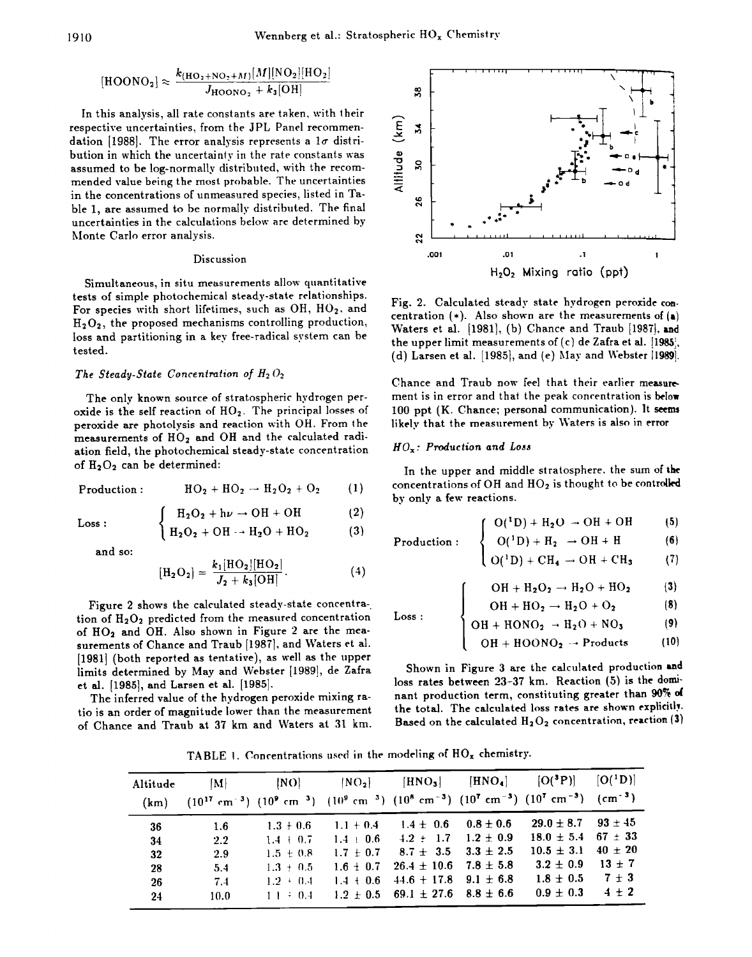$$
[\text{HOODO}_2] \approx \frac{k_{\text{(HO}_2 + \text{NO}_2 + M)}[M][\text{NO}_2][\text{HO}_2]}{J_{\text{HOOD}_2} + k_3[\text{OH}]}
$$

**In this analysis, all rate constants are taken, with their respective uncertainties, from the JPL Panel recommen**dation [1988]. The error analysis represents a  $1\sigma$  distri**bution in which the uncertainty in the rate constants was assumed to be log-normally distributed, with the recommended value being the most pr{•bable. The uncertainties in the concentrations of unmeasured species, listed in Ta**ble 1, are assumed to be normally distributed. The final **uncertainties in the calculations below are determined by Monte Carlo error analysis.** 

### **Discussion**

**Simultaneous, in situ measurements allow quantitative tests of simple photochemical steady-state relationships.**  For species with short lifetimes, such as OH, HO<sub>2</sub>, and **H202, the proposed mechanisms controlling production, loss and partitioning in a key free-radical system can be tested.** 

# The Steady-State Concentration of  $H_2 O_2$

**The only known source of stratospheric hydrogen per**oxide is the self reaction of HO<sub>2</sub>. The principal losses of **peroxide are photolysis and reaction with OH. From the**  measurements of HO<sub>2</sub> and OH and the calculated radi**ation field, the photochemical steady-state concentration**  of H<sub>2</sub>O<sub>2</sub> can be determined:

$$
Production: \qquad \qquad HO_2 + HO_2 \rightarrow H_2O_2 + O_2 \qquad (1)
$$

$$
\int H_2O_2 + h\nu \to OH + OH \tag{2}
$$

Loss: 
$$
\begin{cases}\nR_2O_2 + n\nu \to On + On \\
H_2O_2 + OH \to H_2O + HO_2\n\end{cases}
$$
 (3)

**and so:** 

$$
[\mathrm{H}_{2}\mathrm{O}_{2}] = \frac{k_{1}[\mathrm{HO}_{2}][\mathrm{HO}_{2}]}{J_{2} + k_{3}[\mathrm{OH}]}.
$$
 (4)

**Figure 2 shows the calculated steady-state concentra**tion of H<sub>2</sub>O<sub>2</sub> predicted from the measured concentration of HO<sub>2</sub> and OH. Also shown in Figure 2 are the measurements of Chance and Traub [1987], and Waters et al. **[1981] (both reported as tentative), as well as the upper limits determined by May and Webster [1989], de Zafra et al. [1985], and Larsen et al. [1985].** 

**The inferred value of the hydrogen peroxide mixing ratio is an order of magnitude lower than the measurement of Chance and Traub at 37 km and Waters at 31 km.** 



**Fig. 2. Calculated steady state hydrogen peroxide con.**  centration  $(*)$ . Also shown are the measurements of  $(*)$ Waters et al. [1981], (b) Chance and Traub [1987], and **the upper limit measurements of(c) de Zafra et al.**  (d) Larsen et al. [1985], and (e) May and Webster **[1989**].

**Chance and Traub now feel that their earlier measure\***  ment is in error and that the peak concentration is below 100 ppt (K. Chance; personal communication). It seems **likely that the measurement by Waters is also in error.** 

### **HOx' Production and Loss**

**In the upper and middle stratosphere. the sum of the**  concentrations of OH and HO<sub>2</sub> is thought to be controlled **by only a few reactions.** 

$$
\int O(^1D) + H_2O \rightarrow OH + OH \tag{5}
$$

Production: 
$$
\begin{cases}\nO(^{1}D) + H_{2} \rightarrow OH + H \\
O(^{1}D) + CH_{4} \rightarrow OH + CH_{3} \\
(7)\n\end{cases}
$$
 (6)

$$
\mathrm{(O(^1D)+CH_4\rightarrow OH+CH_3} \qquad (7)
$$

$$
\mathrm{OH} + \mathrm{H}_2\mathrm{O}_2 \rightarrow \mathrm{H}_2\mathrm{O} + \mathrm{HO}_2 \tag{3}
$$

 $OH + HO<sub>2</sub> \rightarrow H<sub>2</sub>O + O<sub>2</sub>$  $(8)$ 

Loss: 
$$
\left\{\n \begin{array}{l}\n \text{OH} + \text{HONO}_2 \rightarrow \text{H}_2\text{O} + \text{NO}_3\n \end{array}\n \right. (9)
$$

$$
[OH + H O O NO2 \rightarrow Products \qquad (10)
$$

**Shown in Figure 3 are the calculated production and**  loss rates between 23-37 km. Reaction (5) is the dominant production term, constituting greater than 90% of the total. The calculated loss rates are shown explicitly. Based on the calculated H<sub>2</sub>O<sub>2</sub> concentration, reaction (3)

TABLE 1. Concentrations used in the modeling of HO<sub>x</sub> chemistry.

| Altitude<br>(km)                  | M <br>$(10^{17} \text{ cm}^{-3})$ $(10^9 \text{ cm}^{-3})$ $(10^9 \text{ cm}^{-3})$ $(10^8 \text{ cm}^{-3})$ $(10^7 \text{ cm}^{-3})$ $(10^7 \text{ cm}^{-3})$ $(\text{cm}^{-3})$ | [NO]                                                                                     |                                                              |                                                                                                                                                                                                        |             | $[NO_2]$ $[HNO_3]$ $[HNO_4]$ $[O(^3P)]$ $[O(^1D)]$                                                                                    |                                |
|-----------------------------------|-----------------------------------------------------------------------------------------------------------------------------------------------------------------------------------|------------------------------------------------------------------------------------------|--------------------------------------------------------------|--------------------------------------------------------------------------------------------------------------------------------------------------------------------------------------------------------|-------------|---------------------------------------------------------------------------------------------------------------------------------------|--------------------------------|
| 36<br>-34<br>32<br>28<br>26<br>24 | -1.6<br>2.2<br>2.9<br>5.4<br>7.4<br>10.0                                                                                                                                          | $1.3 + 0.6$<br>$1.4 + 0.7$<br>$1.5 + 0.8$<br>$1.3 + 0.5$<br>$1.2 + 0.4$<br>$11 \div 0.4$ | $1.1 + 0.4$<br>$1.4 \pm 0.6$<br>$1.7 + 0.7$<br>$1.6 \pm 0.7$ | $1.4 \pm 0.6$<br>$4.2 \pm 1.7$ $1.2 \pm 0.9$<br>$8.7 \pm 3.5$ $3.3 \pm 2.5$<br>$26.4 \pm 10.6$ 7.8 $\pm$ 5.8<br>$1.4 + 0.6 + 44.6 + 17.8 + 9.1 \pm 6.8$<br>$1.2 \pm 0.5$ 69.1 $\pm$ 27.6 8.8 $\pm$ 6.6 | $0.8 + 0.6$ | $29.0 \pm 8.7$ $93 \pm 45$<br>$18.0 \pm 5.4$ 67 $\pm$ 33<br>$10.5 \pm 3.1$ 40 $\pm$ 20<br>$3.2 \pm 0.9$<br>$1.8 + 0.5$<br>$0.9 + 0.3$ | $13 + 7$<br>$7 + 3$<br>$4 + 2$ |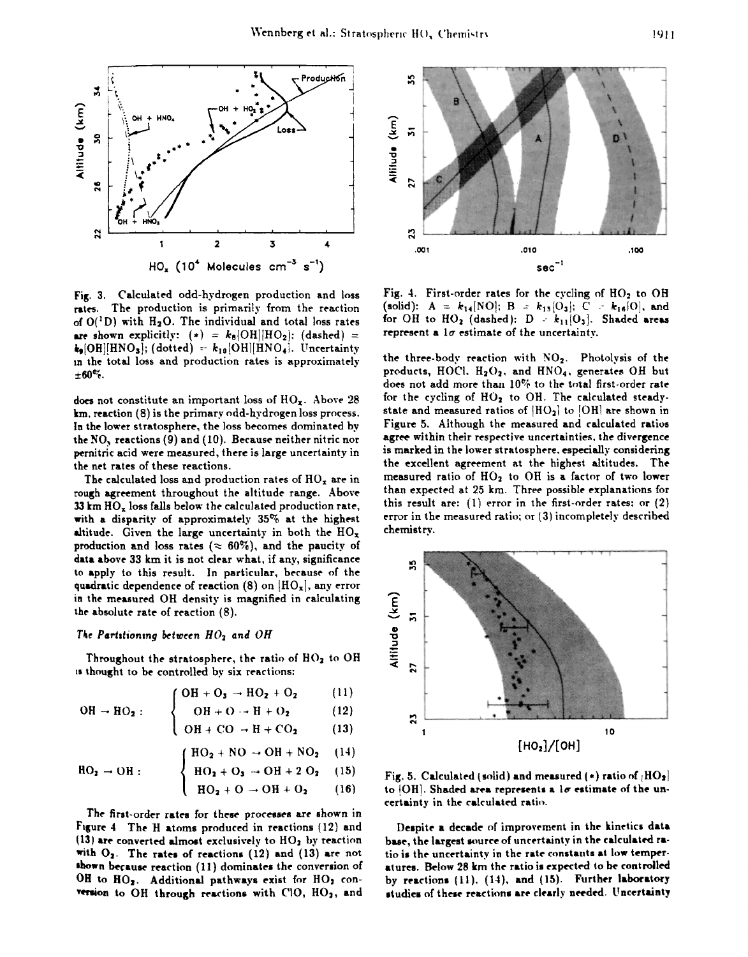

Fig. 3. Calculated odd-hydrogen production and loss rates. The production is primarily from the reaction of  $O(^1D)$  with  $H_2O$ . The individual and total loss rates are shown explicitly:  $(*) = k_8|\text{OH}||\text{HO}_2|$ ; (dashed) =  $k_9[OH][HNO_3];$  (dotted) =  $k_{10}[OH][HNO_4].$  Uncertainty in the total loss and production rates is approximately  $\pm 60\%$ .

does not constitute an important loss of  $HO_x$ . Above 28 km, reaction (8) is the primary odd-hydrogen loss process. In the lower stratosphere, the loss becomes dominated by the NO<sub>y</sub> reactions (9) and (10). Because neither nitric nor pernitric acid were measured, there is large uncertainty in the net rates of these reactions.

The calculated loss and production rates of  $HO_x$  are in rough agreement throughout the altitude range. Above 33 km  $HO_x$  loss falls below the calculated production rate, with a disparity of approximately  $35\%$  at the highest altitude. Given the large uncertainty in both the  $HO_x$ production and loss rates ( $\approx 60\%$ ), and the paucity of data above 33 km it is not clear what, if any, significance to apply to this result. In particular, because of the quadratic dependence of reaction (8) on  $[HO_x]$ , any error in the measured OH density is magnified in calculating the absolute rate of reaction (8).

### The Partitioning between  $HO_2$  and  $OH$

Throughout the stratosphere, the ratio of HO<sub>2</sub> to OH is thought to be controlled by six reactions:

$$
\text{(OH} + \text{O}_3 \rightarrow \text{HO}_2 + \text{O}_2 \tag{11}
$$

$$
\mathrm{OH} \rightarrow \mathrm{HO}_2: \qquad \left\{ \quad \mathrm{OH} + \mathrm{O} \rightarrow \mathrm{H} + \mathrm{O}_2 \right. \tag{12}
$$

$$
OH + CO \rightarrow H + CO_2 \tag{13}
$$

$$
HO_2 + NO \rightarrow OH + NO_2 \quad (14)
$$

$$
HO_2 \rightarrow OH : \qquad \left\{ HO_2 + O_3 \rightarrow OH + 2 O_2 \quad (15) \right\}
$$

$$
(HO_2 + O \to OH + O_2) (16)
$$

The first-order rates for these processes are shown in Figure 4 The H atoms produced in reactions (12) and (13) are converted almost exclusively to HO<sub>2</sub> by reaction with  $O_2$ . The rates of reactions (12) and (13) are not shown because reaction (11) dominates the conversion of OH to HO2. Additional pathways exist for HO2 conversion to  $OH$  through reactions with  $ClO$ ,  $HO<sub>2</sub>$ , and



Fig. 4. First-order rates for the cycling of  $HO<sub>2</sub>$  to OH (solid):  $A = k_{14} | NO |; B = k_{15} | O_3 |; C = k_{16} | O |$ , and for OH to  $HO_2$  (dashed):  $D = k_{11}[O_3]$ . Shaded areas represent a  $1\sigma$  estimate of the uncertainty.

the three-body reaction with NO2. Photolysis of the products, HOCl. H<sub>2</sub>O<sub>2</sub>, and HNO<sub>4</sub>, generates OH but does not add more than 10% to the total first-order rate for the cycling of HO<sub>2</sub> to OH. The calculated steadystate and measured ratios of  $HO<sub>2</sub>$  to  $[OH]$  are shown in Figure 5. Although the measured and calculated ratios agree within their respective uncertainties, the divergence is marked in the lower stratosphere, especially considering the excellent agreement at the highest altitudes. The measured ratio of HO<sub>2</sub> to OH is a factor of two lower than expected at 25 km. Three possible explanations for this result are:  $(1)$  error in the first-order rates; or  $(2)$ error in the measured ratio; or (3) incompletely described chemistry.



Fig. 5. Calculated (solid) and measured (\*) ratio of  $[HO_2]$ to [OH]. Shaded area represents a  $1\sigma$  estimate of the uncertainty in the calculated ratio.

Despite a decade of improvement in the kinetics data base, the largest source of uncertainty in the calculated ratio is the uncertainty in the rate constants at low temperatures. Below 28 km the ratio is expected to be controlled by reactions (11), (14), and (15). Further laboratory studies of these reactions are clearly needed. Uncertainty